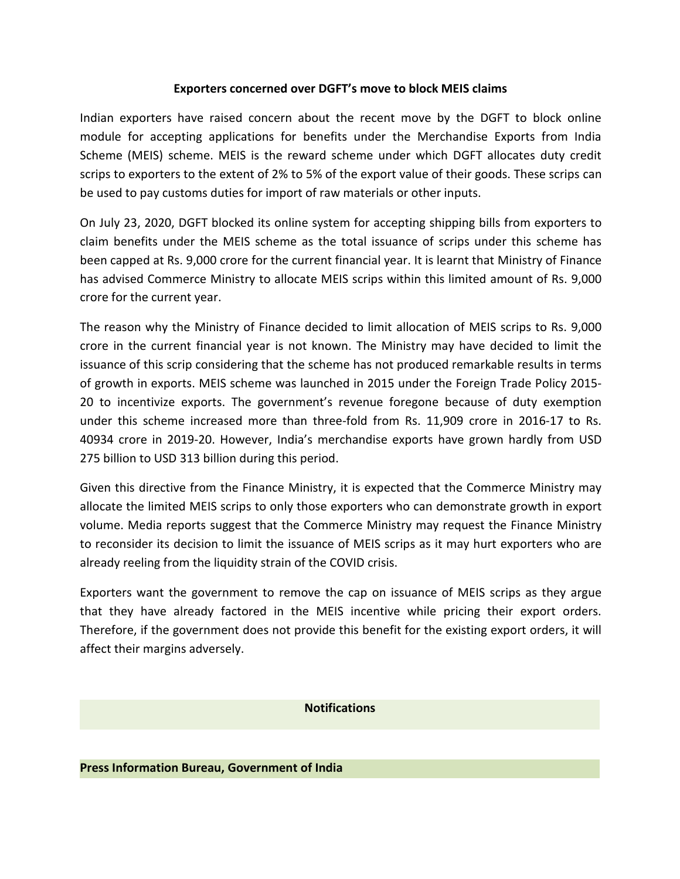## **Exporters concerned over DGFT's move to block MEIS claims**

Indian exporters have raised concern about the recent move by the DGFT to block online module for accepting applications for benefits under the Merchandise Exports from India Scheme (MEIS) scheme. MEIS is the reward scheme under which DGFT allocates duty credit scrips to exporters to the extent of 2% to 5% of the export value of their goods. These scrips can be used to pay customs duties for import of raw materials or other inputs.

On July 23, 2020, DGFT blocked its online system for accepting shipping bills from exporters to claim benefits under the MEIS scheme as the total issuance of scrips under this scheme has been capped at Rs. 9,000 crore for the current financial year. It is learnt that Ministry of Finance has advised Commerce Ministry to allocate MEIS scrips within this limited amount of Rs. 9,000 crore for the current year.

The reason why the Ministry of Finance decided to limit allocation of MEIS scrips to Rs.9,000 crore in the current financial year is not known. The Ministry may have decided to limit the issuance of this scrip considering that the scheme has not produced remarkable results in terms of growth in exports. MEIS scheme was launched in 2015 under the Foreign Trade Policy 2015- 20 to incentivize exports. The government's revenue foregone because of duty exemption under this scheme increased more than three-fold from Rs. 11,909 crore in 2016-17 to Rs. 40934 crore in 2019-20. However, India's merchandise exports have grown hardly from USD 275 billion to USD 313 billion during this period.

Given this directive from the Finance Ministry, it is expected that the Commerce Ministry may allocate the limited MEIS scrips to only those exporters who can demonstrate growth in export volume. Media reports suggest that the Commerce Ministry may request the Finance Ministry to reconsider its decision to limit the issuance of MEIS scrips as it may hurt exporters who are already reeling from the liquidity strain of the COVID crisis.

Exporters want the government to remove the cap on issuance of MEIS scrips as they argue that they have already factored in the MEIS incentive while pricing their export orders. Therefore, if the government does not provide this benefit for the existing export orders, it will affect their margins adversely.

## **Notifications**

## **Press Information Bureau, Government of India**